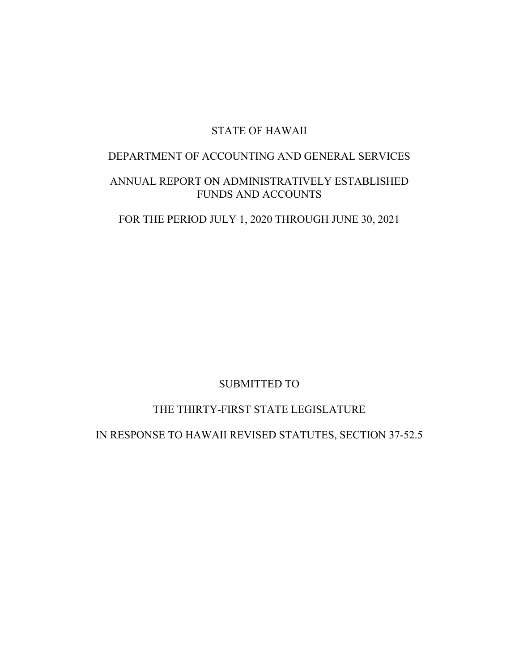# STATE OF HAWAII

# DEPARTMENT OF ACCOUNTING AND GENERAL SERVICES

# ANNUAL REPORT ON ADMINISTRATIVELY ESTABLISHED FUNDS AND ACCOUNTS

FOR THE PERIOD JULY 1, 2020 THROUGH JUNE 30, 2021

# SUBMITTED TO

# THE THIRTY-FIRST STATE LEGISLATURE

# IN RESPONSE TO HAWAII REVISED STATUTES, SECTION 37-52.5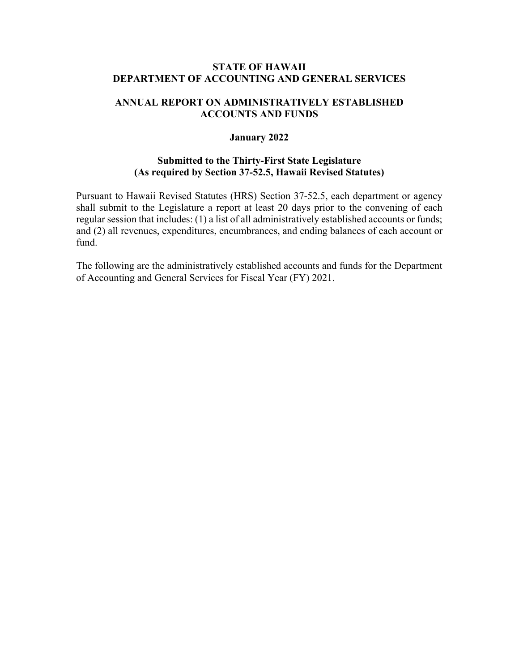## **STATE OF HAWAII DEPARTMENT OF ACCOUNTING AND GENERAL SERVICES**

## **ANNUAL REPORT ON ADMINISTRATIVELY ESTABLISHED ACCOUNTS AND FUNDS**

## **January 2022**

## **Submitted to the Thirty-First State Legislature (As required by Section 37-52.5, Hawaii Revised Statutes)**

Pursuant to Hawaii Revised Statutes (HRS) Section 37-52.5, each department or agency shall submit to the Legislature a report at least 20 days prior to the convening of each regular session that includes: (1) a list of all administratively established accounts or funds; and (2) all revenues, expenditures, encumbrances, and ending balances of each account or fund.

The following are the administratively established accounts and funds for the Department of Accounting and General Services for Fiscal Year (FY) 2021.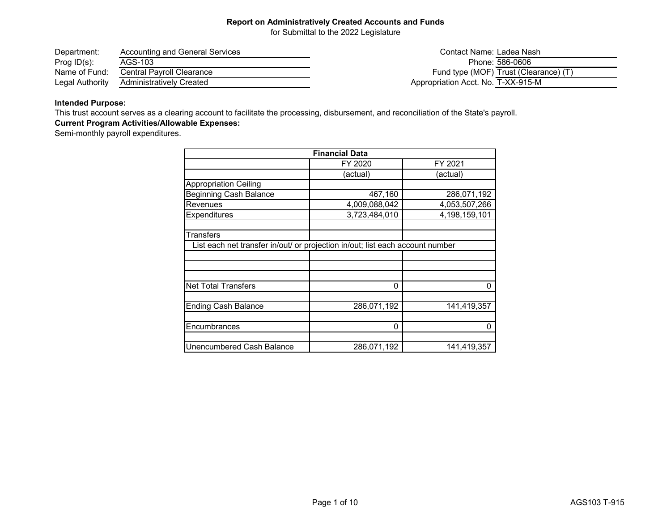for Submittal to the 2022 Legislature

| Department:     | Accounting and General Services | Contact Name: Ladea Nash              |
|-----------------|---------------------------------|---------------------------------------|
| Prog $ID(s)$ :  | AGS-103                         | Phone: 586-0606                       |
| Name of Fund:   | Central Pavroll Clearance       | Fund type (MOF) Trust (Clearance) (T) |
| Legal Authority | Administratively Created        | Appropriation Acct. No. T-XX-915-M    |

## **Intended Purpose:**

This trust account serves as a clearing account to facilitate the processing, disbursement, and reconciliation of the State's payroll.

## **Current Program Activities/Allowable Expenses:**

Semi-monthly payroll expenditures.

| <b>Financial Data</b>                                                         |               |                  |
|-------------------------------------------------------------------------------|---------------|------------------|
|                                                                               | FY 2020       | FY 2021          |
|                                                                               | (actual)      | (actual)         |
| <b>Appropriation Ceiling</b>                                                  |               |                  |
| <b>Beginning Cash Balance</b>                                                 | 467,160       | 286,071,192      |
| Revenues                                                                      | 4,009,088,042 | 4,053,507,266    |
| Expenditures                                                                  | 3,723,484,010 | 4, 198, 159, 101 |
| <b>Transfers</b>                                                              |               |                  |
| List each net transfer in/out/ or projection in/out; list each account number |               |                  |
|                                                                               |               |                  |
|                                                                               |               |                  |
| <b>Net Total Transfers</b>                                                    | $\Omega$      | 0                |
| <b>Ending Cash Balance</b>                                                    | 286,071,192   | 141,419,357      |
| Encumbrances                                                                  | 0             | 0                |
| Unencumbered Cash Balance                                                     | 286,071,192   | 141,419,357      |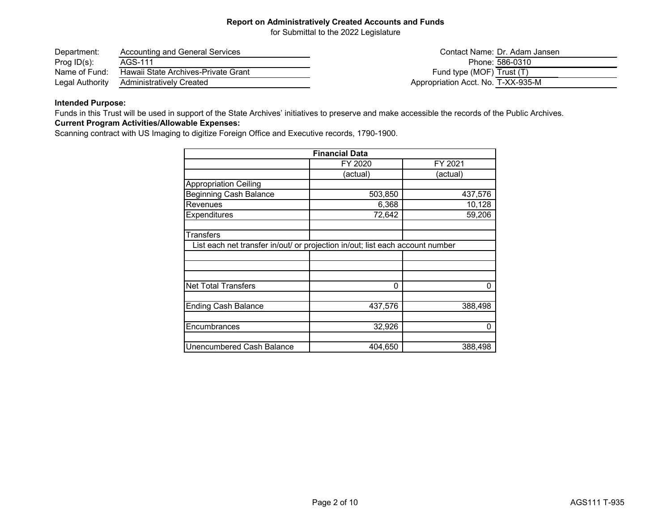for Submittal to the 2022 Legislature

| Department:     | Accounting and General Services     | Contact Name: Dr. Adam Jansen      |
|-----------------|-------------------------------------|------------------------------------|
| Prog $ID(s)$ :  | AGS-111                             | Phone: 586-0310                    |
| Name of Fund:   | Hawaii State Archives-Private Grant | Fund type (MOF) Trust (T)          |
| Legal Authority | Administratively Created            | Appropriation Acct. No. T-XX-935-M |

## **Intended Purpose:**

Funds in this Trust will be used in support of the State Archives' initiatives to preserve and make accessible the records of the Public Archives.

## **Current Program Activities/Allowable Expenses:**

Scanning contract with US Imaging to digitize Foreign Office and Executive records, 1790-1900.

| <b>Financial Data</b>                                                         |          |          |
|-------------------------------------------------------------------------------|----------|----------|
|                                                                               | FY 2020  | FY 2021  |
|                                                                               | (actual) | (actual) |
| <b>Appropriation Ceiling</b>                                                  |          |          |
| <b>Beginning Cash Balance</b>                                                 | 503,850  | 437,576  |
| Revenues                                                                      | 6,368    | 10,128   |
| <b>Expenditures</b>                                                           | 72,642   | 59,206   |
| <b>Transfers</b>                                                              |          |          |
| List each net transfer in/out/ or projection in/out; list each account number |          |          |
|                                                                               |          |          |
|                                                                               |          |          |
| <b>Net Total Transfers</b>                                                    | $\Omega$ | $\Omega$ |
| <b>Ending Cash Balance</b>                                                    | 437,576  | 388,498  |
|                                                                               |          |          |
| Encumbrances                                                                  | 32,926   | 0        |
| Unencumbered Cash Balance                                                     | 404,650  | 388,498  |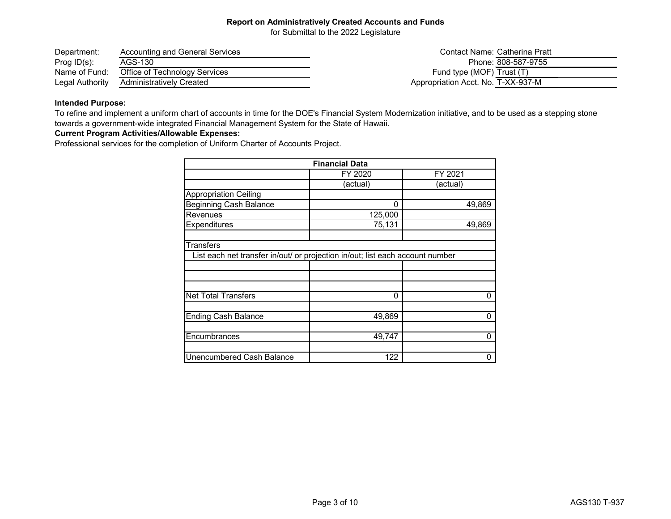for Submittal to the 2022 Legislature

| Department:     | Accounting and General Services | Contact Name: Catherina Pratt      |
|-----------------|---------------------------------|------------------------------------|
| Prog $ID(s)$ :  | AGS-130                         | Phone: 808-587-9755                |
| Name of Fund:   | Office of Technology Services   | Fund type (MOF) Trust (T)          |
| Legal Authority | Administratively Created        | Appropriation Acct. No. T-XX-937-M |

#### **Intended Purpose:**

To refine and implement a uniform chart of accounts in time for the DOE's Financial System Modernization initiative, and to be used as a stepping stone towards a government-wide integrated Financial Management System for the State of Hawaii.

### **Current Program Activities/Allowable Expenses:**

Professional services for the completion of Uniform Charter of Accounts Project.

| <b>Financial Data</b>                                                                             |          |             |
|---------------------------------------------------------------------------------------------------|----------|-------------|
|                                                                                                   | FY 2020  | FY 2021     |
|                                                                                                   | actual)  | (actual)    |
| <b>Appropriation Ceiling</b>                                                                      |          |             |
| <b>Beginning Cash Balance</b>                                                                     | $\Omega$ | 49,869      |
| Revenues                                                                                          | 125,000  |             |
| Expenditures                                                                                      | 75,131   | 49,869      |
| <b>Transfers</b><br>List each net transfer in/out/ or projection in/out; list each account number |          |             |
|                                                                                                   |          |             |
|                                                                                                   |          |             |
| <b>Net Total Transfers</b>                                                                        | $\Omega$ | 0           |
| Ending Cash Balance                                                                               | 49,869   | 0           |
| Encumbrances                                                                                      | 49,747   | $\mathbf 0$ |
| Unencumbered Cash Balance                                                                         | 122      | 0           |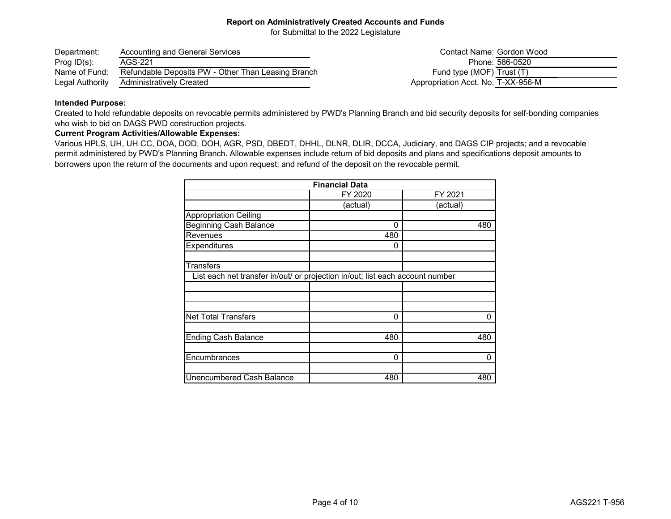for Submittal to the 2022 Legislature

| Department:     | Accounting and General Services                    |
|-----------------|----------------------------------------------------|
| Prog $ID(s)$ :  | AGS-221                                            |
| Name of Fund:   | Refundable Deposits PW - Other Than Leasing Branch |
| Legal Authority | <b>Administratively Created</b>                    |

Contact Name: Gordon Wood Phone: 586-0520 Fund type (MOF)  $\overline{T \text{rust } (T)}$ Appropriation Acct. No. T-XX-956-M

#### **Intended Purpose:**

Created to hold refundable deposits on revocable permits administered by PWD's Planning Branch and bid security deposits for self-bonding companies who wish to bid on DAGS PWD construction projects.

#### **Current Program Activities/Allowable Expenses:**

Various HPLS, UH, UH CC, DOA, DOD, DOH, AGR, PSD, DBEDT, DHHL, DLNR, DLIR, DCCA, Judiciary, and DAGS CIP projects; and a revocable permit administered by PWD's Planning Branch. Allowable expenses include return of bid deposits and plans and specifications deposit amounts to borrowers upon the return of the documents and upon request; and refund of the deposit on the revocable permit.

| <b>Financial Data</b>                                                         |          |          |
|-------------------------------------------------------------------------------|----------|----------|
|                                                                               | FY 2020  | FY 2021  |
|                                                                               | (actual) | (actual) |
| <b>Appropriation Ceiling</b>                                                  |          |          |
| <b>Beginning Cash Balance</b>                                                 | 0        | 480      |
| Revenues                                                                      | 480      |          |
| Expenditures                                                                  | 0        |          |
| <b>Transfers</b>                                                              |          |          |
| List each net transfer in/out/ or projection in/out; list each account number |          |          |
|                                                                               |          |          |
|                                                                               |          |          |
| <b>Net Total Transfers</b>                                                    | 0        | 0        |
| <b>Ending Cash Balance</b>                                                    | 480      | 480      |
| Encumbrances                                                                  | 0        | 0        |
| <b>Unencumbered Cash Balance</b>                                              | 480      | 480      |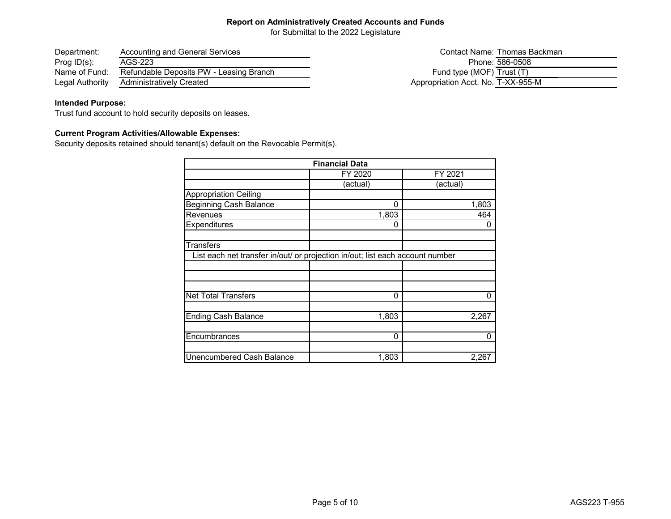for Submittal to the 2022 Legislature

| Department:     | <b>Accounting and General Services</b>  |
|-----------------|-----------------------------------------|
| Prog $ID(s)$ :  | AGS-223                                 |
| Name of Fund:   | Refundable Deposits PW - Leasing Branch |
| Legal Authority | <b>Administratively Created</b>         |

## Contact Name: Thomas Backman Phone: 586-0508 Fund type (MOF)  $\overline{\text{Trust (T)}}$ Appropriation Acct. No. T-XX-955-M

## **Intended Purpose:**

Trust fund account to hold security deposits on leases.

## **Current Program Activities/Allowable Expenses:**

Security deposits retained should tenant(s) default on the Revocable Permit(s).

| <b>Financial Data</b>                                                         |          |          |
|-------------------------------------------------------------------------------|----------|----------|
|                                                                               | FY 2020  | FY 2021  |
|                                                                               | (actual) | (actual) |
| <b>Appropriation Ceiling</b>                                                  |          |          |
| <b>Beginning Cash Balance</b>                                                 | $\Omega$ | 1,803    |
| Revenues                                                                      | 1,803    | 464      |
| Expenditures                                                                  | 0        | 0        |
| <b>Transfers</b>                                                              |          |          |
| List each net transfer in/out/ or projection in/out; list each account number |          |          |
|                                                                               |          |          |
|                                                                               |          |          |
| <b>Net Total Transfers</b>                                                    | 0        | 0        |
|                                                                               |          |          |
| <b>Ending Cash Balance</b>                                                    | 1,803    | 2,267    |
| Encumbrances                                                                  | 0        | 0        |
| Unencumbered Cash Balance                                                     | 1,803    | 2,267    |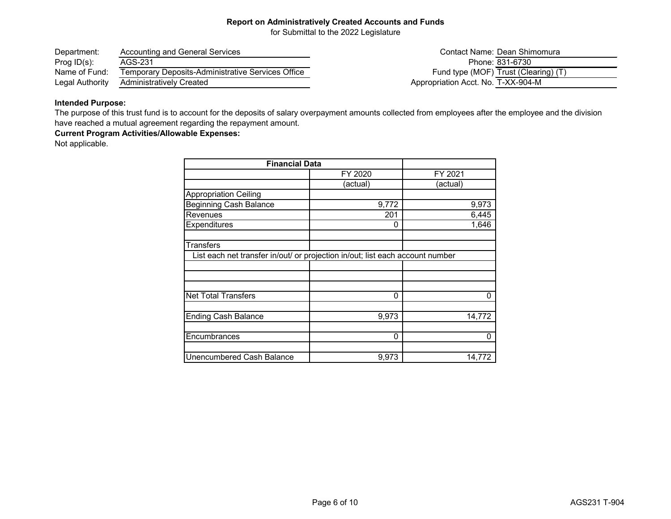for Submittal to the 2022 Legislature

| Department:     | <b>Accounting and General Services</b>                   |
|-----------------|----------------------------------------------------------|
| Prog $ID(s)$ :  | AGS-231                                                  |
| Name of Fund:   | <b>Temporary Deposits-Administrative Services Office</b> |
| Legal Authority | <b>Administratively Created</b>                          |

Contact Name: Dean Shimomura Phone: 831-6730 Fund type (MOF) Trust (Clearing) (T) Appropriation Acct. No. T-XX-904-M

## **Intended Purpose:**

The purpose of this trust fund is to account for the deposits of salary overpayment amounts collected from employees after the employee and the division have reached a mutual agreement regarding the repayment amount.

**Current Program Activities/Allowable Expenses:**

Not applicable.

| <b>Financial Data</b>                                                         |          |          |
|-------------------------------------------------------------------------------|----------|----------|
|                                                                               | FY 2020  | FY 2021  |
|                                                                               | (actual) | (actual) |
| <b>Appropriation Ceiling</b>                                                  |          |          |
| <b>Beginning Cash Balance</b>                                                 | 9,772    | 9,973    |
| Revenues                                                                      | 201      | 6,445    |
| Expenditures                                                                  | 0        | 1,646    |
| <b>Transfers</b>                                                              |          |          |
| List each net transfer in/out/ or projection in/out; list each account number |          |          |
|                                                                               |          |          |
|                                                                               |          |          |
| <b>Net Total Transfers</b>                                                    | 0        | 0        |
| <b>Ending Cash Balance</b>                                                    | 9,973    | 14,772   |
| Encumbrances                                                                  | 0        | 0        |
| <b>Unencumbered Cash Balance</b>                                              | 9,973    | 14,772   |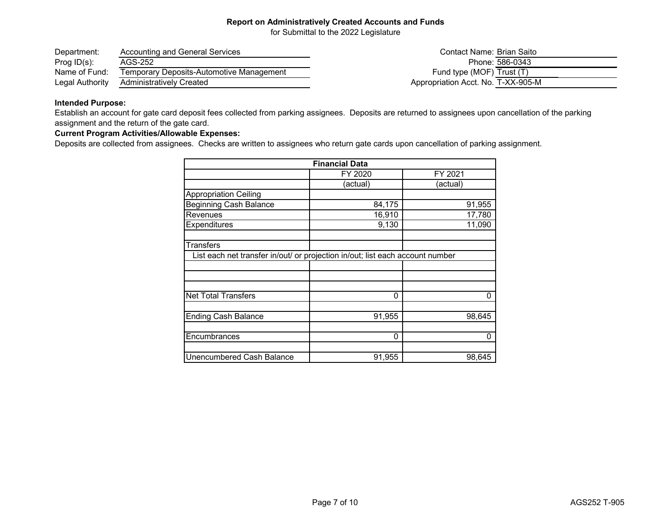for Submittal to the 2022 Legislature

| Department:     | Accounting and General Services          | Contact Name: Brian Saito          |
|-----------------|------------------------------------------|------------------------------------|
| Prog $ID(s)$ :  | AGS-252                                  | Phone: 586-0343                    |
| Name of Fund:   | Temporary Deposits-Automotive Management | Fund type (MOF) Trust (T)          |
| Legal Authority | <b>Administratively Created</b>          | Appropriation Acct. No. T-XX-905-M |

### **Intended Purpose:**

Establish an account for gate card deposit fees collected from parking assignees. Deposits are returned to assignees upon cancellation of the parking assignment and the return of the gate card.

## **Current Program Activities/Allowable Expenses:**

Deposits are collected from assignees. Checks are written to assignees who return gate cards upon cancellation of parking assignment.

|                                                                               | <b>Financial Data</b> |          |
|-------------------------------------------------------------------------------|-----------------------|----------|
|                                                                               | FY 2020               | FY 2021  |
|                                                                               | (actual)              | (actual) |
| <b>Appropriation Ceiling</b>                                                  |                       |          |
| <b>Beginning Cash Balance</b>                                                 | 84,175                | 91,955   |
| Revenues                                                                      | 16,910                | 17,780   |
| Expenditures                                                                  | 9,130                 | 11,090   |
| <b>Transfers</b>                                                              |                       |          |
| List each net transfer in/out/ or projection in/out; list each account number |                       |          |
|                                                                               |                       |          |
|                                                                               |                       |          |
| <b>Net Total Transfers</b>                                                    | $\Omega$              | 0        |
| <b>Ending Cash Balance</b>                                                    | 91,955                | 98,645   |
| Encumbrances                                                                  | 0                     | 0        |
| Unencumbered Cash Balance                                                     | 91,955                | 98,645   |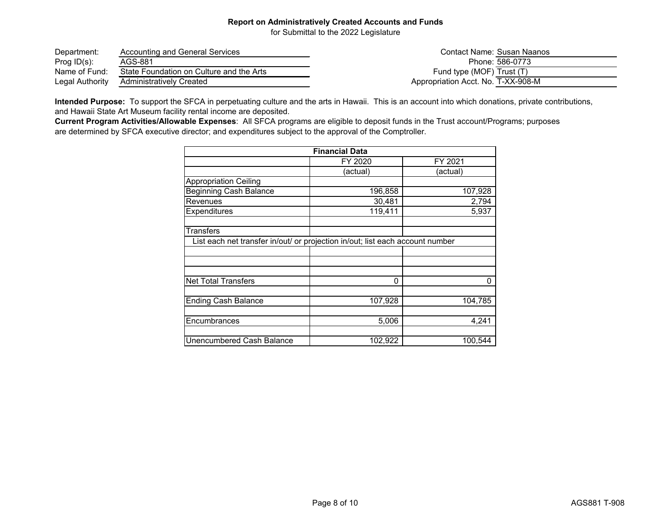for Submittal to the 2022 Legislature

| Department:     | Accounting and General Services          | Contact Name: Susan Naanos         |  |
|-----------------|------------------------------------------|------------------------------------|--|
| Prog $ID(s)$ :  | AGS-881                                  | Phone: 586-0773                    |  |
| Name of Fund:   | State Foundation on Culture and the Arts | Fund type (MOF) Trust (T)          |  |
| Legal Authority | Administratively Created                 | Appropriation Acct. No. T-XX-908-M |  |

**Intended Purpose:** To support the SFCA in perpetuating culture and the arts in Hawaii. This is an account into which donations, private contributions, and Hawaii State Art Museum facility rental income are deposited.

**Current Program Activities/Allowable Expenses**: All SFCA programs are eligible to deposit funds in the Trust account/Programs; purposes are determined by SFCA executive director; and expenditures subject to the approval of the Comptroller.

| <b>Financial Data</b>                                                         |          |          |
|-------------------------------------------------------------------------------|----------|----------|
|                                                                               | FY 2020  | FY 2021  |
|                                                                               | (actual) | (actual) |
| <b>Appropriation Ceiling</b>                                                  |          |          |
| <b>Beginning Cash Balance</b>                                                 | 196,858  | 107,928  |
| Revenues                                                                      | 30,481   | 2,794    |
| Expenditures                                                                  | 119,411  | 5,937    |
| <b>Transfers</b>                                                              |          |          |
| List each net transfer in/out/ or projection in/out; list each account number |          |          |
|                                                                               |          |          |
|                                                                               |          |          |
|                                                                               |          |          |
| <b>Net Total Transfers</b>                                                    | $\Omega$ | 0        |
|                                                                               |          |          |
| <b>Ending Cash Balance</b>                                                    | 107,928  | 104,785  |
|                                                                               |          |          |
| Encumbrances                                                                  | 5,006    | 4,241    |
|                                                                               |          |          |
| Unencumbered Cash Balance                                                     | 102,922  | 100,544  |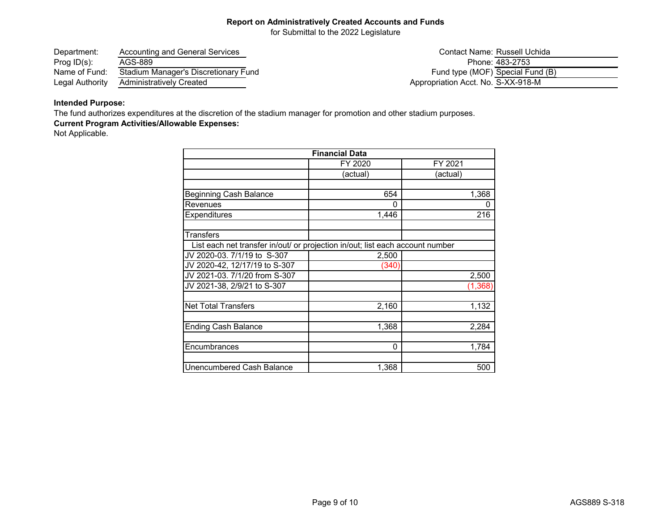for Submittal to the 2022 Legislature

| Department:     | Accounting and General Services      |                                    | Contact Name: Russell Uchida     |
|-----------------|--------------------------------------|------------------------------------|----------------------------------|
| Prog $ID(s)$ :  | AGS-889                              |                                    | Phone: 483-2753                  |
| Name of Fund:   | Stadium Manager's Discretionary Fund |                                    | Fund type (MOF) Special Fund (B) |
| Legal Authority | Administratively Created             | Appropriation Acct. No. S-XX-918-M |                                  |

## **Intended Purpose:**

The fund authorizes expenditures at the discretion of the stadium manager for promotion and other stadium purposes.

## **Current Program Activities/Allowable Expenses:**

Not Applicable.

|                                                                               | <b>Financial Data</b> |          |
|-------------------------------------------------------------------------------|-----------------------|----------|
|                                                                               | FY 2020               | FY 2021  |
|                                                                               | (actual)              | (actual) |
|                                                                               |                       |          |
| <b>Beginning Cash Balance</b>                                                 | 654                   | 1,368    |
| Revenues                                                                      | 0                     | 0        |
| Expenditures                                                                  | 1,446                 | 216      |
| <b>Transfers</b>                                                              |                       |          |
| List each net transfer in/out/ or projection in/out; list each account number |                       |          |
| JV 2020-03. 7/1/19 to S-307                                                   | 2,500                 |          |
| JV 2020-42, 12/17/19 to S-307                                                 | (340)                 |          |
| JV 2021-03. 7/1/20 from S-307                                                 |                       | 2,500    |
| JV 2021-38, 2/9/21 to S-307                                                   |                       | (1, 368) |
| <b>Net Total Transfers</b>                                                    | 2,160                 | 1,132    |
| <b>Ending Cash Balance</b>                                                    | 1,368                 | 2,284    |
| Encumbrances                                                                  | 0                     | 1,784    |
| Unencumbered Cash Balance                                                     | 1,368                 | 500      |